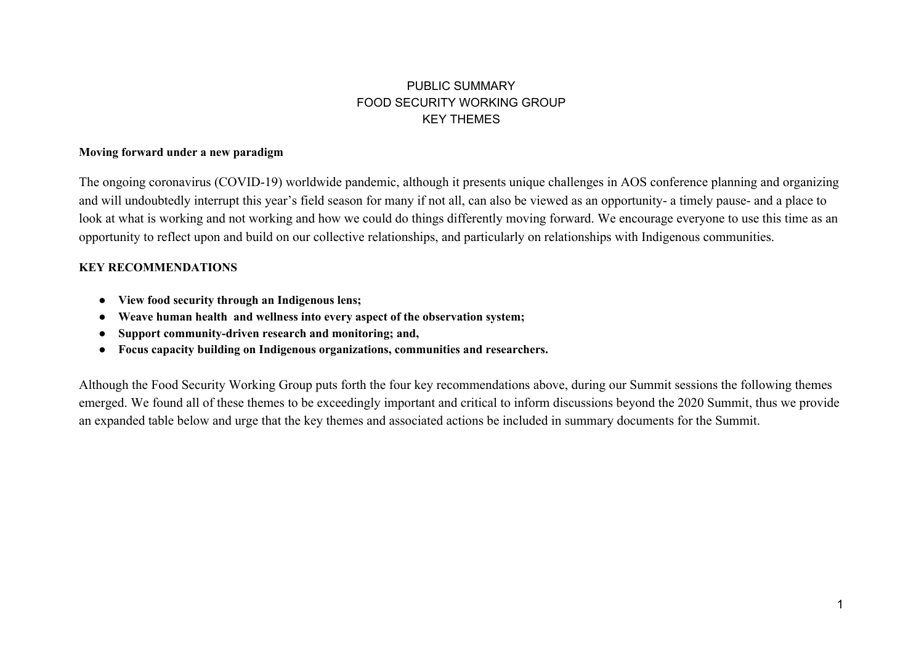## PUBLIC SUMMARY FOOD SECURITY WORKING GROUP KEY THEMES

## **Moving forward under a new paradigm**

The ongoing coronavirus (COVID-19) worldwide pandemic, although it presents unique challenges in AOS conference planning and organizing and will undoubtedly interrupt this year's field season for many if not all, can also be viewed as an opportunity- a timely pause- and a place to look at what is working and not working and how we could do things differently moving forward. We encourage everyone to use this time as an opportunity to reflect upon and build on our collective relationships, and particularly on relationships with Indigenous communities.

## **KEY RECOMMENDATIONS**

- **● View food security through an Indigenous lens;**
- **● Weave human health and wellness into every aspect of the observation system;**
- **● Support community-driven research and monitoring; and,**
- **● Focus capacity building on Indigenous organizations, communities and researchers.**

Although the Food Security Working Group puts forth the four key recommendations above, during our Summit sessions the following themes emerged. We found all of these themes to be exceedingly important and critical to inform discussions beyond the 2020 Summit, thus we provide an expanded table below and urge that the key themes and associated actions be included in summary documents for the Summit.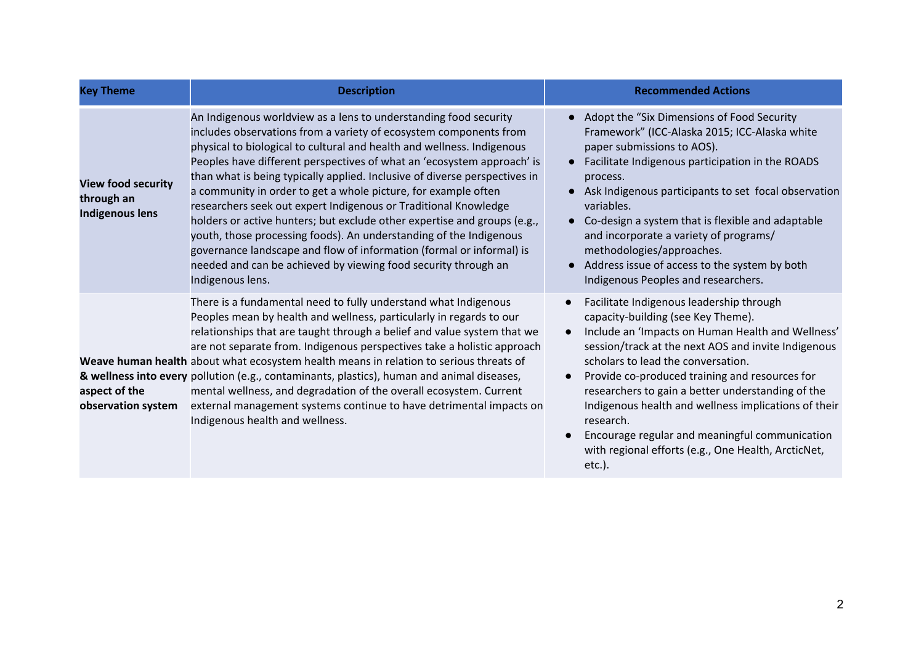| <b>Key Theme</b>                                           | <b>Description</b>                                                                                                                                                                                                                                                                                                                                                                                                                                                                                                                                                                                                                                                                                                                                                                                                           | <b>Recommended Actions</b>                                                                                                                                                                                                                                                                                                                                                                                                                                                                                                         |
|------------------------------------------------------------|------------------------------------------------------------------------------------------------------------------------------------------------------------------------------------------------------------------------------------------------------------------------------------------------------------------------------------------------------------------------------------------------------------------------------------------------------------------------------------------------------------------------------------------------------------------------------------------------------------------------------------------------------------------------------------------------------------------------------------------------------------------------------------------------------------------------------|------------------------------------------------------------------------------------------------------------------------------------------------------------------------------------------------------------------------------------------------------------------------------------------------------------------------------------------------------------------------------------------------------------------------------------------------------------------------------------------------------------------------------------|
| <b>View food security</b><br>through an<br>Indigenous lens | An Indigenous worldview as a lens to understanding food security<br>includes observations from a variety of ecosystem components from<br>physical to biological to cultural and health and wellness. Indigenous<br>Peoples have different perspectives of what an 'ecosystem approach' is<br>than what is being typically applied. Inclusive of diverse perspectives in<br>a community in order to get a whole picture, for example often<br>researchers seek out expert Indigenous or Traditional Knowledge<br>holders or active hunters; but exclude other expertise and groups (e.g.,<br>youth, those processing foods). An understanding of the Indigenous<br>governance landscape and flow of information (formal or informal) is<br>needed and can be achieved by viewing food security through an<br>Indigenous lens. | • Adopt the "Six Dimensions of Food Security<br>Framework" (ICC-Alaska 2015; ICC-Alaska white<br>paper submissions to AOS).<br>Facilitate Indigenous participation in the ROADS<br>process.<br>Ask Indigenous participants to set focal observation<br>variables.<br>• Co-design a system that is flexible and adaptable<br>and incorporate a variety of programs/<br>methodologies/approaches.<br>Address issue of access to the system by both<br>Indigenous Peoples and researchers.                                            |
| aspect of the<br>observation system                        | There is a fundamental need to fully understand what Indigenous<br>Peoples mean by health and wellness, particularly in regards to our<br>relationships that are taught through a belief and value system that we<br>are not separate from. Indigenous perspectives take a holistic approach<br>Weave human health about what ecosystem health means in relation to serious threats of<br>& wellness into every pollution (e.g., contaminants, plastics), human and animal diseases,<br>mental wellness, and degradation of the overall ecosystem. Current<br>external management systems continue to have detrimental impacts on<br>Indigenous health and wellness.                                                                                                                                                         | Facilitate Indigenous leadership through<br>capacity-building (see Key Theme).<br>Include an 'Impacts on Human Health and Wellness'<br>session/track at the next AOS and invite Indigenous<br>scholars to lead the conversation.<br>Provide co-produced training and resources for<br>researchers to gain a better understanding of the<br>Indigenous health and wellness implications of their<br>research.<br>Encourage regular and meaningful communication<br>with regional efforts (e.g., One Health, ArcticNet,<br>$etc.$ ). |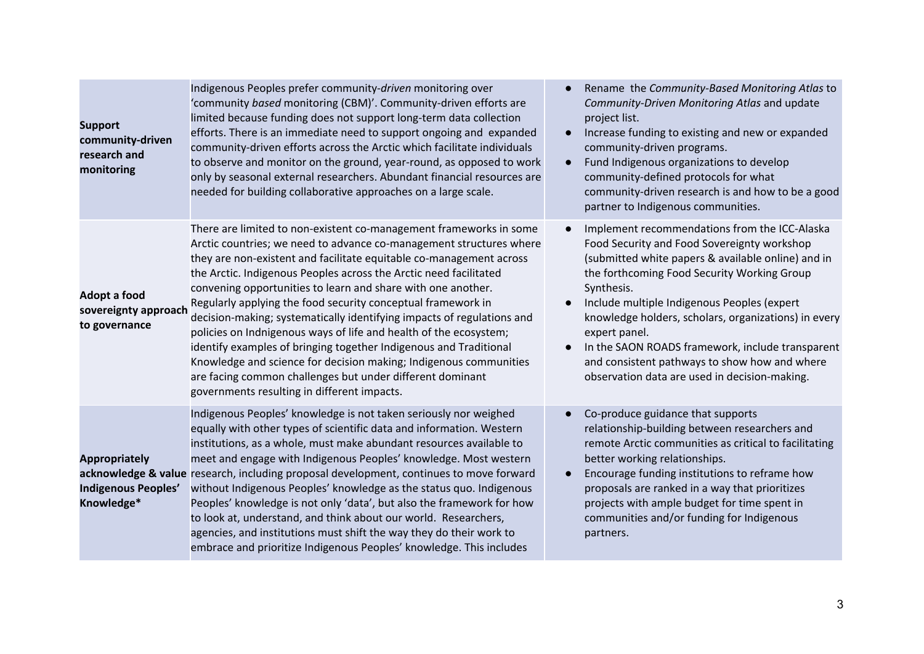| <b>Support</b><br>community-driven<br>research and<br>monitoring | Indigenous Peoples prefer community-driven monitoring over<br>'community based monitoring (CBM)'. Community-driven efforts are<br>limited because funding does not support long-term data collection<br>efforts. There is an immediate need to support ongoing and expanded<br>community-driven efforts across the Arctic which facilitate individuals<br>to observe and monitor on the ground, year-round, as opposed to work<br>only by seasonal external researchers. Abundant financial resources are<br>needed for building collaborative approaches on a large scale.                                                                                                                                                                                                                                                | Rename the Community-Based Monitoring Atlas to<br>Community-Driven Monitoring Atlas and update<br>project list.<br>Increase funding to existing and new or expanded<br>community-driven programs.<br>Fund Indigenous organizations to develop<br>community-defined protocols for what<br>community-driven research is and how to be a good<br>partner to Indigenous communities.                                                                                                              |
|------------------------------------------------------------------|----------------------------------------------------------------------------------------------------------------------------------------------------------------------------------------------------------------------------------------------------------------------------------------------------------------------------------------------------------------------------------------------------------------------------------------------------------------------------------------------------------------------------------------------------------------------------------------------------------------------------------------------------------------------------------------------------------------------------------------------------------------------------------------------------------------------------|-----------------------------------------------------------------------------------------------------------------------------------------------------------------------------------------------------------------------------------------------------------------------------------------------------------------------------------------------------------------------------------------------------------------------------------------------------------------------------------------------|
| <b>Adopt a food</b><br>sovereignty approach<br>to governance     | There are limited to non-existent co-management frameworks in some<br>Arctic countries; we need to advance co-management structures where<br>they are non-existent and facilitate equitable co-management across<br>the Arctic. Indigenous Peoples across the Arctic need facilitated<br>convening opportunities to learn and share with one another.<br>Regularly applying the food security conceptual framework in<br>decision-making; systematically identifying impacts of regulations and<br>policies on Indnigenous ways of life and health of the ecosystem;<br>identify examples of bringing together Indigenous and Traditional<br>Knowledge and science for decision making; Indigenous communities<br>are facing common challenges but under different dominant<br>governments resulting in different impacts. | Implement recommendations from the ICC-Alaska<br>Food Security and Food Sovereignty workshop<br>(submitted white papers & available online) and in<br>the forthcoming Food Security Working Group<br>Synthesis.<br>Include multiple Indigenous Peoples (expert<br>knowledge holders, scholars, organizations) in every<br>expert panel.<br>In the SAON ROADS framework, include transparent<br>and consistent pathways to show how and where<br>observation data are used in decision-making. |
| <b>Appropriately</b><br>Indigenous Peoples'<br>Knowledge*        | Indigenous Peoples' knowledge is not taken seriously nor weighed<br>equally with other types of scientific data and information. Western<br>institutions, as a whole, must make abundant resources available to<br>meet and engage with Indigenous Peoples' knowledge. Most western<br>acknowledge & value research, including proposal development, continues to move forward<br>without Indigenous Peoples' knowledge as the status quo. Indigenous<br>Peoples' knowledge is not only 'data', but also the framework for how<br>to look at, understand, and think about our world. Researchers,<br>agencies, and institutions must shift the way they do their work to<br>embrace and prioritize Indigenous Peoples' knowledge. This includes                                                                            | Co-produce guidance that supports<br>relationship-building between researchers and<br>remote Arctic communities as critical to facilitating<br>better working relationships.<br>Encourage funding institutions to reframe how<br>$\bullet$<br>proposals are ranked in a way that prioritizes<br>projects with ample budget for time spent in<br>communities and/or funding for Indigenous<br>partners.                                                                                        |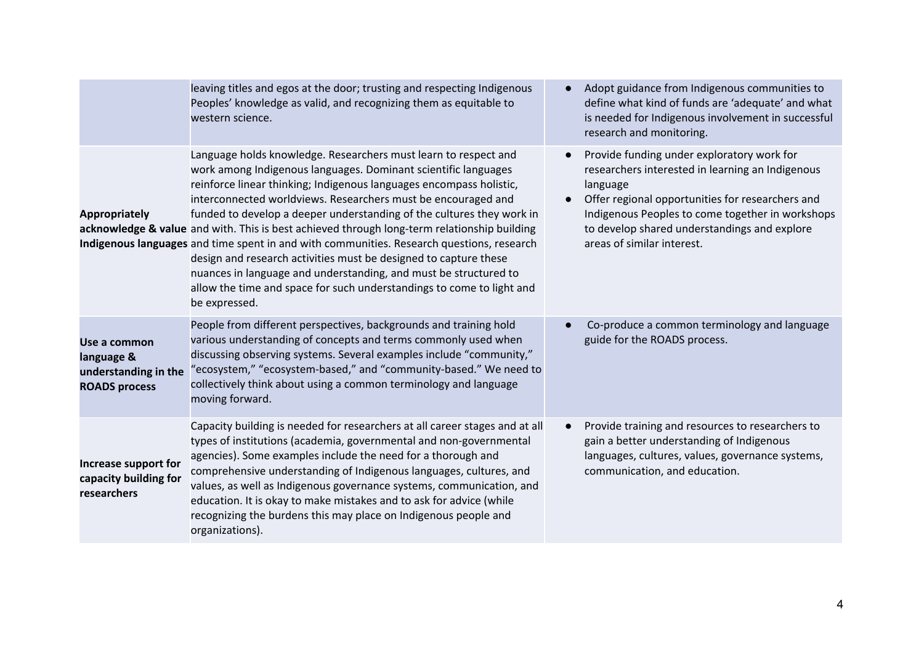|                                                                            | leaving titles and egos at the door; trusting and respecting Indigenous<br>Peoples' knowledge as valid, and recognizing them as equitable to<br>western science.                                                                                                                                                                                                                                                                                                                                                                                                                                                                                                                                                                                                                 | Adopt guidance from Indigenous communities to<br>define what kind of funds are 'adequate' and what<br>is needed for Indigenous involvement in successful<br>research and monitoring.                                                                                                             |
|----------------------------------------------------------------------------|----------------------------------------------------------------------------------------------------------------------------------------------------------------------------------------------------------------------------------------------------------------------------------------------------------------------------------------------------------------------------------------------------------------------------------------------------------------------------------------------------------------------------------------------------------------------------------------------------------------------------------------------------------------------------------------------------------------------------------------------------------------------------------|--------------------------------------------------------------------------------------------------------------------------------------------------------------------------------------------------------------------------------------------------------------------------------------------------|
| <b>Appropriately</b>                                                       | Language holds knowledge. Researchers must learn to respect and<br>work among Indigenous languages. Dominant scientific languages<br>reinforce linear thinking; Indigenous languages encompass holistic,<br>interconnected worldviews. Researchers must be encouraged and<br>funded to develop a deeper understanding of the cultures they work in<br>acknowledge & value and with. This is best achieved through long-term relationship building<br>Indigenous languages and time spent in and with communities. Research questions, research<br>design and research activities must be designed to capture these<br>nuances in language and understanding, and must be structured to<br>allow the time and space for such understandings to come to light and<br>be expressed. | Provide funding under exploratory work for<br>researchers interested in learning an Indigenous<br>language<br>Offer regional opportunities for researchers and<br>Indigenous Peoples to come together in workshops<br>to develop shared understandings and explore<br>areas of similar interest. |
| Use a common<br>language &<br>understanding in the<br><b>ROADS process</b> | People from different perspectives, backgrounds and training hold<br>various understanding of concepts and terms commonly used when<br>discussing observing systems. Several examples include "community,"<br>"ecosystem," "ecosystem-based," and "community-based." We need to<br>collectively think about using a common terminology and language<br>moving forward.                                                                                                                                                                                                                                                                                                                                                                                                           | Co-produce a common terminology and language<br>guide for the ROADS process.                                                                                                                                                                                                                     |
| Increase support for<br>capacity building for<br>researchers               | Capacity building is needed for researchers at all career stages and at all<br>types of institutions (academia, governmental and non-governmental<br>agencies). Some examples include the need for a thorough and<br>comprehensive understanding of Indigenous languages, cultures, and<br>values, as well as Indigenous governance systems, communication, and<br>education. It is okay to make mistakes and to ask for advice (while<br>recognizing the burdens this may place on Indigenous people and<br>organizations).                                                                                                                                                                                                                                                     | Provide training and resources to researchers to<br>gain a better understanding of Indigenous<br>languages, cultures, values, governance systems,<br>communication, and education.                                                                                                               |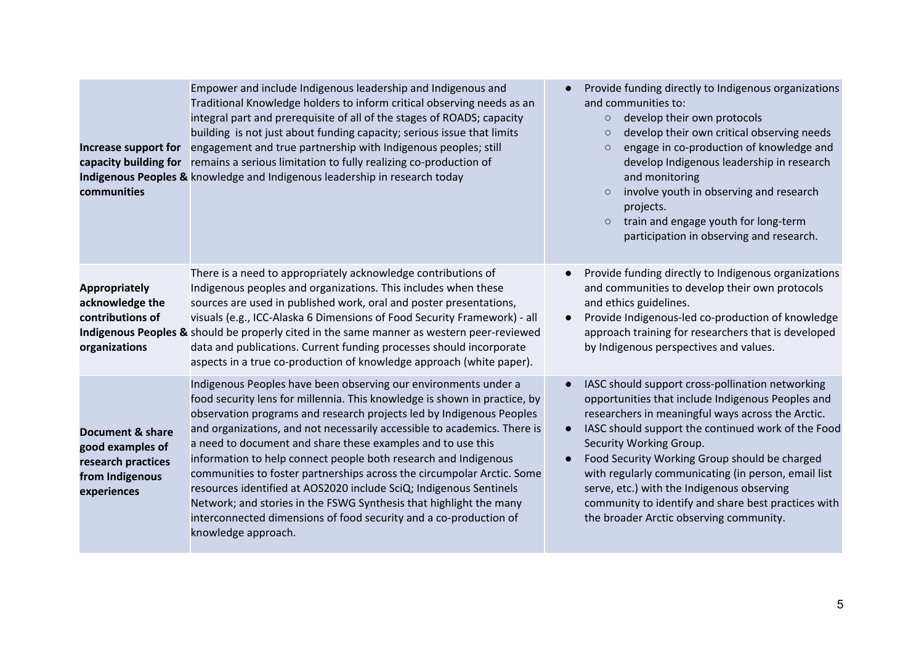| Increase support for<br>capacity building for<br>communities                                 | Empower and include Indigenous leadership and Indigenous and<br>Traditional Knowledge holders to inform critical observing needs as an<br>integral part and prerequisite of all of the stages of ROADS; capacity<br>building is not just about funding capacity; serious issue that limits<br>engagement and true partnership with Indigenous peoples; still<br>remains a serious limitation to fully realizing co-production of<br>Indigenous Peoples & knowledge and Indigenous leadership in research today                                                                                                                                                                                                                                       | Provide funding directly to Indigenous organizations<br>and communities to:<br>develop their own protocols<br>$\circ$<br>develop their own critical observing needs<br>$\circ$<br>engage in co-production of knowledge and<br>develop Indigenous leadership in research<br>and monitoring<br>involve youth in observing and research<br>projects.<br>train and engage youth for long-term<br>$\circ$<br>participation in observing and research.                                                    |
|----------------------------------------------------------------------------------------------|------------------------------------------------------------------------------------------------------------------------------------------------------------------------------------------------------------------------------------------------------------------------------------------------------------------------------------------------------------------------------------------------------------------------------------------------------------------------------------------------------------------------------------------------------------------------------------------------------------------------------------------------------------------------------------------------------------------------------------------------------|-----------------------------------------------------------------------------------------------------------------------------------------------------------------------------------------------------------------------------------------------------------------------------------------------------------------------------------------------------------------------------------------------------------------------------------------------------------------------------------------------------|
| <b>Appropriately</b><br>acknowledge the<br>contributions of<br>organizations                 | There is a need to appropriately acknowledge contributions of<br>Indigenous peoples and organizations. This includes when these<br>sources are used in published work, oral and poster presentations,<br>visuals (e.g., ICC-Alaska 6 Dimensions of Food Security Framework) - all<br>Indigenous Peoples & should be properly cited in the same manner as western peer-reviewed<br>data and publications. Current funding processes should incorporate<br>aspects in a true co-production of knowledge approach (white paper).                                                                                                                                                                                                                        | Provide funding directly to Indigenous organizations<br>and communities to develop their own protocols<br>and ethics guidelines.<br>Provide Indigenous-led co-production of knowledge<br>approach training for researchers that is developed<br>by Indigenous perspectives and values.                                                                                                                                                                                                              |
| Document & share<br>good examples of<br>research practices<br>from Indigenous<br>experiences | Indigenous Peoples have been observing our environments under a<br>food security lens for millennia. This knowledge is shown in practice, by<br>observation programs and research projects led by Indigenous Peoples<br>and organizations, and not necessarily accessible to academics. There is<br>a need to document and share these examples and to use this<br>information to help connect people both research and Indigenous<br>communities to foster partnerships across the circumpolar Arctic. Some<br>resources identified at AOS2020 include SciQ; Indigenous Sentinels<br>Network; and stories in the FSWG Synthesis that highlight the many<br>interconnected dimensions of food security and a co-production of<br>knowledge approach. | IASC should support cross-pollination networking<br>opportunities that include Indigenous Peoples and<br>researchers in meaningful ways across the Arctic.<br>IASC should support the continued work of the Food<br>Security Working Group.<br>Food Security Working Group should be charged<br>with regularly communicating (in person, email list<br>serve, etc.) with the Indigenous observing<br>community to identify and share best practices with<br>the broader Arctic observing community. |